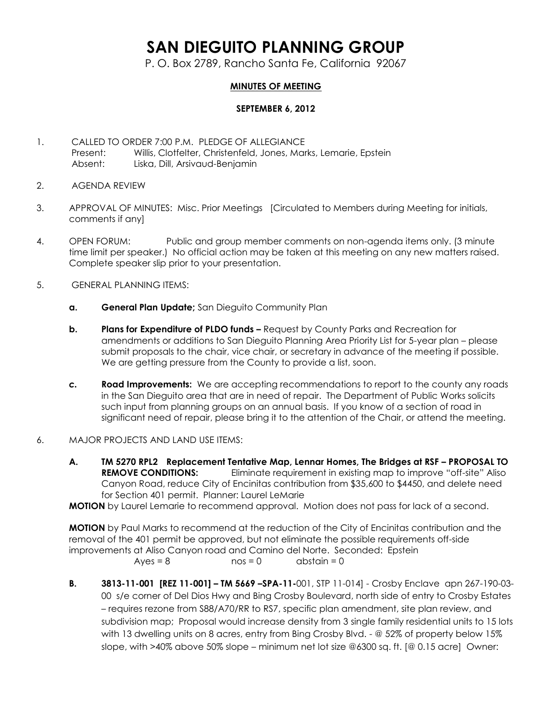## **SAN DIEGUITO PLANNING GROUP**

P. O. Box 2789, Rancho Santa Fe, California 92067

## **MINUTES OF MEETING**

## **SEPTEMBER 6, 2012**

- 1. CALLED TO ORDER 7:00 P.M. PLEDGE OF ALLEGIANCE Present: Willis, Clotfelter, Christenfeld, Jones, Marks, Lemarie, Epstein Absent: Liska, Dill, Arsivaud-Benjamin
- 2. AGENDA REVIEW
- 3. APPROVAL OF MINUTES: Misc. Prior Meetings [Circulated to Members during Meeting for initials, comments if any]
- 4. OPEN FORUM: Public and group member comments on non-agenda items only. (3 minute time limit per speaker.) No official action may be taken at this meeting on any new matters raised. Complete speaker slip prior to your presentation.
- 5. GENERAL PLANNING ITEMS:
	- **a. General Plan Update;** San Dieguito Community Plan
	- **b. Plans for Expenditure of PLDO funds** Request by County Parks and Recreation for amendments or additions to San Dieguito Planning Area Priority List for 5-year plan – please submit proposals to the chair, vice chair, or secretary in advance of the meeting if possible. We are getting pressure from the County to provide a list, soon.
	- *c.* **Road Improvements:** We are accepting recommendations to report to the county any roads in the San Dieguito area that are in need of repair. The Department of Public Works solicits such input from planning groups on an annual basis. If you know of a section of road in significant need of repair, please bring it to the attention of the Chair, or attend the meeting.
- 6. MAJOR PROJECTS AND LAND USE ITEMS:
	- **A. TM 5270 RPL2 Replacement Tentative Map, Lennar Homes, The Bridges at RSF – PROPOSAL TO REMOVE CONDITIONS:** Eliminate requirement in existing map to improve "off-site" Aliso Canyon Road, reduce City of Encinitas contribution from \$35,600 to \$4450, and delete need for Section 401 permit. Planner: Laurel LeMarie

**MOTION** by Laurel Lemarie to recommend approval. Motion does not pass for lack of a second.

**MOTION** by Paul Marks to recommend at the reduction of the City of Encinitas contribution and the removal of the 401 permit be approved, but not eliminate the possible requirements off-side improvements at Aliso Canyon road and Camino del Norte. Seconded: Epstein  $Ayes = 8$  nos = 0 abstain = 0

**B. 3813-11-001 [REZ 11-001] – TM 5669 –SPA-11-**001, STP 11-014] - Crosby Enclave apn 267-190-03- 00 s/e corner of Del Dios Hwy and Bing Crosby Boulevard, north side of entry to Crosby Estates – requires rezone from S88/A70/RR to RS7, specific plan amendment, site plan review, and subdivision map; Proposal would increase density from 3 single family residential units to 15 lots with 13 dwelling units on 8 acres, entry from Bing Crosby Blvd. - @ 52% of property below 15% slope, with >40% above 50% slope – minimum net lot size @6300 sq. ft. [@ 0.15 acre] Owner: